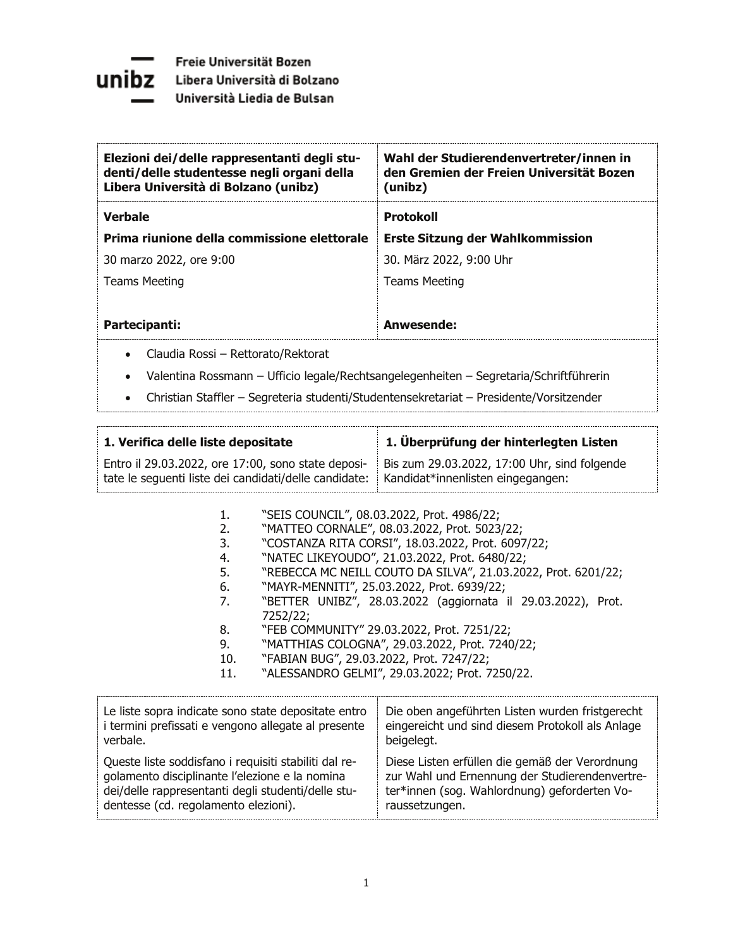

| Elezioni dei/delle rappresentanti degli stu-<br>denti/delle studentesse negli organi della<br>Libera Università di Bolzano (unibz) | Wahl der Studierendenvertreter/innen in<br>den Gremien der Freien Universität Bozen<br>(unibz) |
|------------------------------------------------------------------------------------------------------------------------------------|------------------------------------------------------------------------------------------------|
| <b>Verbale</b>                                                                                                                     | <b>Protokoll</b>                                                                               |
| Prima riunione della commissione elettorale                                                                                        | <b>Erste Sitzung der Wahlkommission</b>                                                        |
| 30 marzo 2022, ore 9:00                                                                                                            | 30. März 2022, 9:00 Uhr                                                                        |
| Teams Meeting                                                                                                                      | Teams Meeting                                                                                  |
|                                                                                                                                    |                                                                                                |
| Partecipanti:                                                                                                                      | Anwesende:                                                                                     |
|                                                                                                                                    |                                                                                                |

- Claudia Rossi Rettorato/Rektorat
- Valentina Rossmann Ufficio legale/Rechtsangelegenheiten Segretaria/Schriftführerin
- Christian Staffler Segreteria studenti/Studentensekretariat Presidente/Vorsitzender

| 1. Verifica delle liste depositate                    | 1. Überprüfung der hinterlegten Listen       |
|-------------------------------------------------------|----------------------------------------------|
| Entro il 29.03.2022, ore 17:00, sono state deposi-    | Bis zum 29.03.2022, 17:00 Uhr, sind folgende |
| tate le sequenti liste dei candidati/delle candidate: | Kandidat*innenlisten eingegangen:            |

- 1. "SEIS COUNCIL", 08.03.2022, Prot. 4986/22;
- 2. "MATTEO CORNALE", 08.03.2022, Prot. 5023/22;
- 3. "COSTANZA RITA CORSI", 18.03.2022, Prot. 6097/22;
- 4. WATEC LIKEYOUDO", 21.03.2022, Prot. 6480/22;<br>5. WREBECCA MC NEILL COUTO DA SILVA", 21.03.202
- "REBECCA MC NEILL COUTO DA SILVA", 21.03.2022, Prot. 6201/22;
- 6. WAYR-MENNITI", 25.03.2022, Prot. 6939/22;
- 7. "BETTER UNIBZ", 28.03.2022 (aggiornata il 29.03.2022), Prot. 7252/22;
- 8. "FEB COMMUNITY" 29.03.2022, Prot. 7251/22;
- 9. WATTHIAS COLOGNA", 29.03.2022, Prot. 7240/22;
- 10. "FABIAN BUG", 29.03.2022, Prot. 7247/22;
- 11. "ALESSANDRO GELMI", 29.03.2022; Prot. 7250/22.

| Le liste sopra indicate sono state depositate entro   | Die oben angeführten Listen wurden fristgerecht  |
|-------------------------------------------------------|--------------------------------------------------|
| i termini prefissati e vengono allegate al presente   | eingereicht und sind diesem Protokoll als Anlage |
| verbale.                                              | beigelegt.                                       |
| Queste liste soddisfano i requisiti stabiliti dal re- | Diese Listen erfüllen die gemäß der Verordnung   |
| golamento disciplinante l'elezione e la nomina        | zur Wahl und Ernennung der Studierendenvertre-   |
| dei/delle rappresentanti degli studenti/delle stu-    | ter*innen (sog. Wahlordnung) geforderten Vo-     |
| dentesse (cd. regolamento elezioni).                  | raussetzungen.                                   |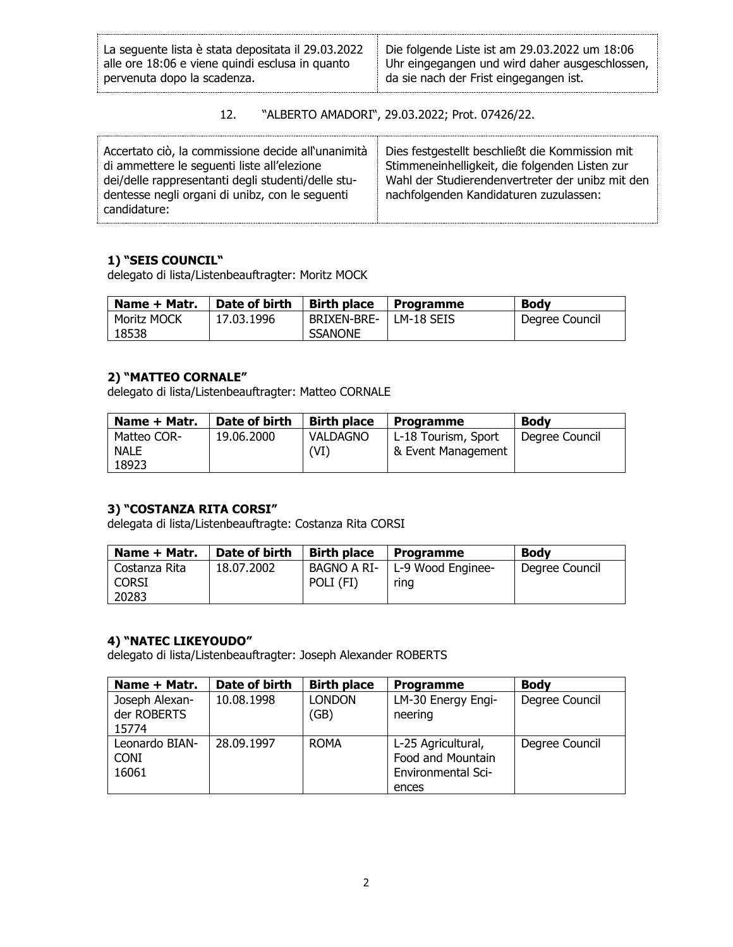| La sequente lista è stata depositata il 29.03.2022 | Die folgende Liste ist am 29.03.2022 um 18:06  |
|----------------------------------------------------|------------------------------------------------|
| alle ore 18:06 e viene quindi esclusa in quanto    | Uhr eingegangen und wird daher ausgeschlossen, |
| pervenuta dopo la scadenza.                        | da sie nach der Frist eingegangen ist.         |

| 12. | "ALBERTO AMADORI", 29.03.2022; Prot. 07426/22. |  |  |
|-----|------------------------------------------------|--|--|
|     |                                                |  |  |

| Accertato ciò, la commissione decide all'unanimità<br>di ammettere le sequenti liste all'elezione<br>dei/delle rappresentanti degli studenti/delle stu-<br>dentesse negli organi di unibz, con le seguenti<br>candidature: | Dies festgestellt beschließt die Kommission mit<br>Stimmeneinhelligkeit, die folgenden Listen zur<br>Wahl der Studierendenvertreter der unibz mit den<br>nachfolgenden Kandidaturen zuzulassen: |
|----------------------------------------------------------------------------------------------------------------------------------------------------------------------------------------------------------------------------|-------------------------------------------------------------------------------------------------------------------------------------------------------------------------------------------------|
|----------------------------------------------------------------------------------------------------------------------------------------------------------------------------------------------------------------------------|-------------------------------------------------------------------------------------------------------------------------------------------------------------------------------------------------|

### **1) "SEIS COUNCIL"**

delegato di lista/Listenbeauftragter: Moritz MOCK

| Name + Matr. | Date of birth | <b>Birth place</b> | <b>Programme</b> | <b>Body</b>    |
|--------------|---------------|--------------------|------------------|----------------|
| Moritz MOCK  | 17.03.1996    | BRIXEN-BRE-        | LM-18 SEIS       | Degree Council |
| 18538        |               | <b>SSANONE</b>     |                  |                |

# **2) "MATTEO CORNALE"**

delegato di lista/Listenbeauftragter: Matteo CORNALE

| Name + Matr.               | Date of birth | <b>Birth place</b> | Programme                                 | <b>Body</b>    |
|----------------------------|---------------|--------------------|-------------------------------------------|----------------|
| Matteo COR-<br><b>NALE</b> | 19.06.2000    | VALDAGNO<br>(VI)   | L-18 Tourism, Sport<br>& Event Management | Degree Council |
| 18923                      |               |                    |                                           |                |

## **3) "COSTANZA RITA CORSI"**

delegata di lista/Listenbeauftragte: Costanza Rita CORSI

| Name + Matr.  | Date of birth | <b>Birth place</b> | <b>Programme</b>                | <b>Body</b>    |
|---------------|---------------|--------------------|---------------------------------|----------------|
| Costanza Rita | 18.07.2002    |                    | BAGNO A RI-   L-9 Wood Enginee- | Degree Council |
| Corsi         |               | POLI (FI)          | ring                            |                |
| 20283         |               |                    |                                 |                |

## **4) "NATEC LIKEYOUDO"**

delegato di lista/Listenbeauftragter: Joseph Alexander ROBERTS

| Name + Matr.                           | Date of birth | <b>Birth place</b>    | <b>Programme</b>                                                              | <b>Body</b>    |
|----------------------------------------|---------------|-----------------------|-------------------------------------------------------------------------------|----------------|
| Joseph Alexan-<br>der ROBERTS<br>15774 | 10.08.1998    | <b>LONDON</b><br>(GB) | LM-30 Energy Engi-<br>neering                                                 | Degree Council |
| Leonardo BIAN-<br><b>CONI</b><br>16061 | 28,09,1997    | <b>ROMA</b>           | L-25 Agricultural,<br>Food and Mountain<br><b>Environmental Sci-</b><br>ences | Degree Council |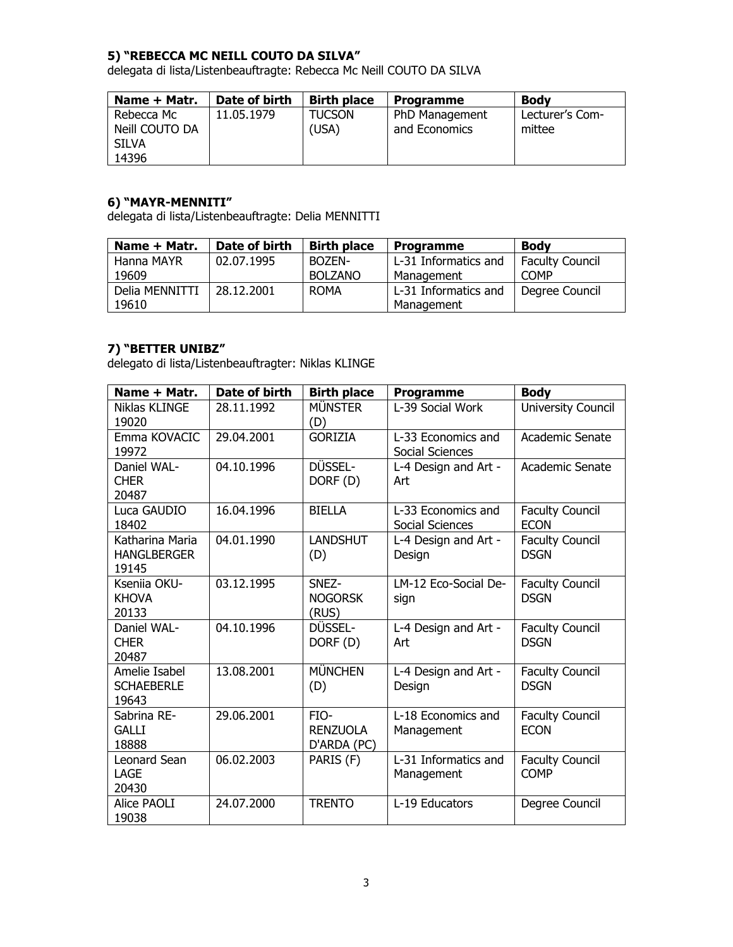#### **5) "REBECCA MC NEILL COUTO DA SILVA"**

delegata di lista/Listenbeauftragte: Rebecca Mc Neill COUTO DA SILVA

| Name + Matr.   | Date of birth | <b>Birth place</b> | <b>Programme</b> | <b>Body</b>     |
|----------------|---------------|--------------------|------------------|-----------------|
| Rebecca Mc     | 11.05.1979    | <b>TUCSON</b>      | PhD Management   | Lecturer's Com- |
| Neill COUTO DA |               | (USA)              | and Economics    | mittee          |
| SILVA          |               |                    |                  |                 |
| 14396          |               |                    |                  |                 |

## **6) "MAYR-MENNITI"**

delegata di lista/Listenbeauftragte: Delia MENNITTI

| Name + Matr.   | Date of birth | <b>Birth place</b> | Programme            | <b>Body</b>     |
|----------------|---------------|--------------------|----------------------|-----------------|
| Hanna MAYR     | 02.07.1995    | BOZEN-             | L-31 Informatics and | Faculty Council |
| 19609          |               | <b>BOLZANO</b>     | Management           | <b>COMP</b>     |
| Delia MENNITTI | 28.12.2001    | <b>ROMA</b>        | L-31 Informatics and | Degree Council  |
| 19610          |               |                    | Management           |                 |

#### **7) "BETTER UNIBZ"**

delegato di lista/Listenbeauftragter: Niklas KLINGE

| Name + Matr.                                   | Date of birth | <b>Birth place</b>                     | <b>Programme</b>                      | <b>Body</b>                           |
|------------------------------------------------|---------------|----------------------------------------|---------------------------------------|---------------------------------------|
| Niklas KLINGE<br>19020                         | 28.11.1992    | <b>MÜNSTER</b><br>(D)                  | L-39 Social Work                      | University Council                    |
| Emma KOVACIC<br>19972                          | 29.04.2001    | <b>GORIZIA</b>                         | L-33 Economics and<br>Social Sciences | Academic Senate                       |
| Daniel WAL-<br><b>CHER</b><br>20487            | 04.10.1996    | DÜSSEL-<br>DORF (D)                    | L-4 Design and Art -<br>Art           | Academic Senate                       |
| Luca GAUDIO<br>18402                           | 16.04.1996    | <b>BIELLA</b>                          | L-33 Economics and<br>Social Sciences | <b>Faculty Council</b><br><b>ECON</b> |
| Katharina Maria<br><b>HANGLBERGER</b><br>19145 | 04.01.1990    | <b>LANDSHUT</b><br>(D)                 | L-4 Design and Art -<br>Design        | <b>Faculty Council</b><br><b>DSGN</b> |
| Kseniia OKU-<br><b>KHOVA</b><br>20133          | 03.12.1995    | SNEZ-<br><b>NOGORSK</b><br>(RUS)       | LM-12 Eco-Social De-<br>sign          | <b>Faculty Council</b><br><b>DSGN</b> |
| Daniel WAL-<br><b>CHER</b><br>20487            | 04.10.1996    | DÜSSEL-<br>DORF (D)                    | L-4 Design and Art -<br>Art           | <b>Faculty Council</b><br><b>DSGN</b> |
| Amelie Isabel<br><b>SCHAEBERLE</b><br>19643    | 13.08.2001    | <b>MÜNCHEN</b><br>(D)                  | L-4 Design and Art -<br>Design        | <b>Faculty Council</b><br><b>DSGN</b> |
| Sabrina RE-<br><b>GALLI</b><br>18888           | 29.06.2001    | FIO-<br><b>RENZUOLA</b><br>D'ARDA (PC) | L-18 Economics and<br>Management      | <b>Faculty Council</b><br><b>ECON</b> |
| <b>Leonard Sean</b><br>LAGE<br>20430           | 06.02.2003    | PARIS (F)                              | L-31 Informatics and<br>Management    | <b>Faculty Council</b><br><b>COMP</b> |
| Alice PAOLI<br>19038                           | 24.07.2000    | <b>TRENTO</b>                          | L-19 Educators                        | Degree Council                        |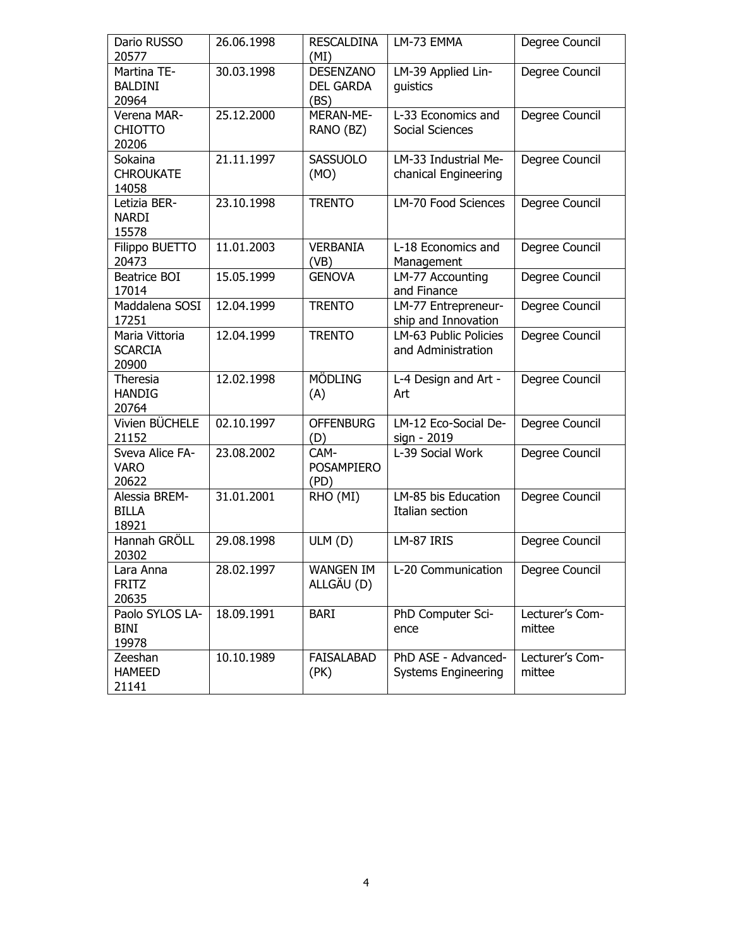| Dario RUSSO<br>20577                      | 26.06.1998 | <b>RESCALDINA</b><br>(MI)             | LM-73 EMMA                                        | Degree Council            |
|-------------------------------------------|------------|---------------------------------------|---------------------------------------------------|---------------------------|
| Martina TE-<br><b>BALDINI</b><br>20964    | 30.03.1998 | <b>DESENZANO</b><br>DEL GARDA<br>(BS) | LM-39 Applied Lin-<br>guistics                    | Degree Council            |
| Verena MAR-<br><b>CHIOTTO</b><br>20206    | 25.12.2000 | MERAN-ME-<br>RANO (BZ)                | L-33 Economics and<br><b>Social Sciences</b>      | Degree Council            |
| Sokaina<br><b>CHROUKATE</b><br>14058      | 21.11.1997 | SASSUOLO<br>(MO)                      | LM-33 Industrial Me-<br>chanical Engineering      | Degree Council            |
| Letizia BER-<br><b>NARDI</b><br>15578     | 23.10.1998 | <b>TRENTO</b>                         | LM-70 Food Sciences                               | Degree Council            |
| Filippo BUETTO<br>20473                   | 11.01.2003 | <b>VERBANIA</b><br>(VB)               | L-18 Economics and<br>Management                  | Degree Council            |
| Beatrice BOI<br>17014                     | 15.05.1999 | <b>GENOVA</b>                         | LM-77 Accounting<br>and Finance                   | Degree Council            |
| Maddalena SOSI<br>17251                   | 12.04.1999 | <b>TRENTO</b>                         | LM-77 Entrepreneur-<br>ship and Innovation        | Degree Council            |
| Maria Vittoria<br><b>SCARCIA</b><br>20900 | 12.04.1999 | <b>TRENTO</b>                         | LM-63 Public Policies<br>and Administration       | Degree Council            |
| Theresia<br><b>HANDIG</b><br>20764        | 12.02.1998 | <b>MÖDLING</b><br>(A)                 | L-4 Design and Art -<br>Art                       | Degree Council            |
| Vivien BÜCHELE<br>21152                   | 02.10.1997 | <b>OFFENBURG</b><br>(D)               | LM-12 Eco-Social De-<br>sign - 2019               | Degree Council            |
| Sveva Alice FA-<br><b>VARO</b><br>20622   | 23.08.2002 | CAM-<br><b>POSAMPIERO</b><br>(PD)     | L-39 Social Work                                  | Degree Council            |
| Alessia BREM-<br><b>BILLA</b><br>18921    | 31.01.2001 | RHO (MI)                              | LM-85 bis Education<br>Italian section            | Degree Council            |
| Hannah GRÖLL<br>20302                     | 29.08.1998 | ULM (D)                               | LM-87 IRIS                                        | Degree Council            |
| Lara Anna<br><b>FRITZ</b><br>20635        | 28.02.1997 | <b>WANGEN IM</b><br>ALLGÄU (D)        | L-20 Communication                                | Degree Council            |
| Paolo SYLOS LA-<br><b>BINI</b><br>19978   | 18.09.1991 | <b>BARI</b>                           | PhD Computer Sci-<br>ence                         | Lecturer's Com-<br>mittee |
| Zeeshan<br><b>HAMEED</b><br>21141         | 10.10.1989 | <b>FAISALABAD</b><br>(PK)             | PhD ASE - Advanced-<br><b>Systems Engineering</b> | Lecturer's Com-<br>mittee |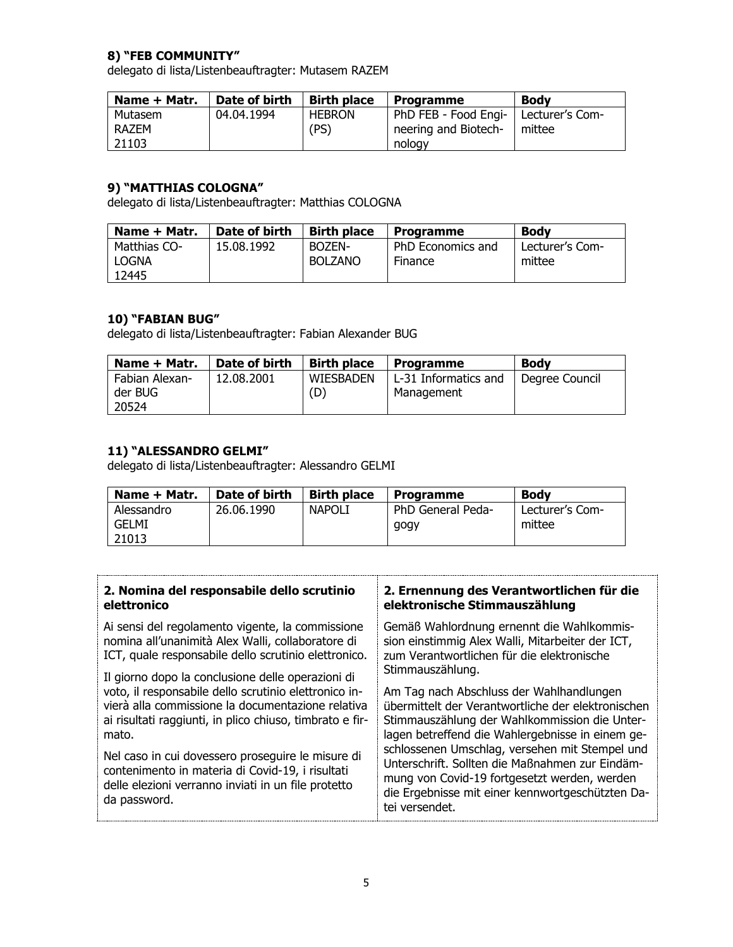### **8) "FEB COMMUNITY"**

delegato di lista/Listenbeauftragter: Mutasem RAZEM

| Name + Matr. | Date of birth | <b>Birth place</b> | <b>Programme</b>                       | <b>Body</b> |
|--------------|---------------|--------------------|----------------------------------------|-------------|
| Mutasem      | 04.04.1994    | <b>HEBRON</b>      | PhD FEB - Food Engi-   Lecturer's Com- |             |
| RAZEM        |               | (PS)               | neering and Biotech-                   | mittee      |
| 21103        |               |                    | nology                                 |             |

## **9) "MATTHIAS COLOGNA"**

delegato di lista/Listenbeauftragter: Matthias COLOGNA

| Name + Matr. | Date of birth | <b>Birth place</b> | <b>Programme</b>  | <b>Body</b>     |
|--------------|---------------|--------------------|-------------------|-----------------|
| Matthias CO- | 15.08.1992    | BOZEN-             | PhD Economics and | Lecturer's Com- |
| LOGNA        |               | <b>BOLZANO</b>     | Finance           | mittee          |
| 12445        |               |                    |                   |                 |

### **10) "FABIAN BUG"**

delegato di lista/Listenbeauftragter: Fabian Alexander BUG

| Name + Matr.   | Date of birth | <b>Birth place</b> | <b>Programme</b>     | <b>Body</b>    |
|----------------|---------------|--------------------|----------------------|----------------|
| Fabian Alexan- | 12.08.2001    | WIESBADEN          | L-31 Informatics and | Degree Council |
| der BUG        |               | (D)                | Management           |                |
| 20524          |               |                    |                      |                |

## **11) "ALESSANDRO GELMI"**

delegato di lista/Listenbeauftragter: Alessandro GELMI

| Name + Matr. | Date of birth | <b>Birth place</b> | <b>Programme</b>  | <b>Body</b>     |
|--------------|---------------|--------------------|-------------------|-----------------|
| Alessandro   | 26.06.1990    | <b>NAPOLI</b>      | PhD General Peda- | Lecturer's Com- |
| GELMI        |               |                    | gogy              | mittee          |
| 21013        |               |                    |                   |                 |

| 2. Nomina del responsabile dello scrutinio                                                                                                                                                                                                                                                                                                                                                                           | 2. Ernennung des Verantwortlichen für die                                                                                                                                                                                                                                                                                                                                                                                                          |  |
|----------------------------------------------------------------------------------------------------------------------------------------------------------------------------------------------------------------------------------------------------------------------------------------------------------------------------------------------------------------------------------------------------------------------|----------------------------------------------------------------------------------------------------------------------------------------------------------------------------------------------------------------------------------------------------------------------------------------------------------------------------------------------------------------------------------------------------------------------------------------------------|--|
| elettronico                                                                                                                                                                                                                                                                                                                                                                                                          | elektronische Stimmauszählung                                                                                                                                                                                                                                                                                                                                                                                                                      |  |
| Ai sensi del regolamento vigente, la commissione                                                                                                                                                                                                                                                                                                                                                                     | Gemäß Wahlordnung ernennt die Wahlkommis-                                                                                                                                                                                                                                                                                                                                                                                                          |  |
| nomina all'unanimità Alex Walli, collaboratore di                                                                                                                                                                                                                                                                                                                                                                    | sion einstimmig Alex Walli, Mitarbeiter der ICT,                                                                                                                                                                                                                                                                                                                                                                                                   |  |
| ICT, quale responsabile dello scrutinio elettronico.                                                                                                                                                                                                                                                                                                                                                                 | zum Verantwortlichen für die elektronische                                                                                                                                                                                                                                                                                                                                                                                                         |  |
| Il giorno dopo la conclusione delle operazioni di<br>voto, il responsabile dello scrutinio elettronico in-<br>vierà alla commissione la documentazione relativa<br>ai risultati raggiunti, in plico chiuso, timbrato e fir-<br>mato.<br>Nel caso in cui dovessero proseguire le misure di<br>contenimento in materia di Covid-19, i risultati<br>delle elezioni verranno inviati in un file protetto<br>da password. | Stimmauszählung.<br>Am Tag nach Abschluss der Wahlhandlungen<br>übermittelt der Verantwortliche der elektronischen<br>Stimmauszählung der Wahlkommission die Unter-<br>lagen betreffend die Wahlergebnisse in einem ge-<br>schlossenen Umschlag, versehen mit Stempel und<br>Unterschrift. Sollten die Maßnahmen zur Eindäm-<br>mung von Covid-19 fortgesetzt werden, werden<br>die Ergebnisse mit einer kennwortgeschützten Da-<br>tei versendet. |  |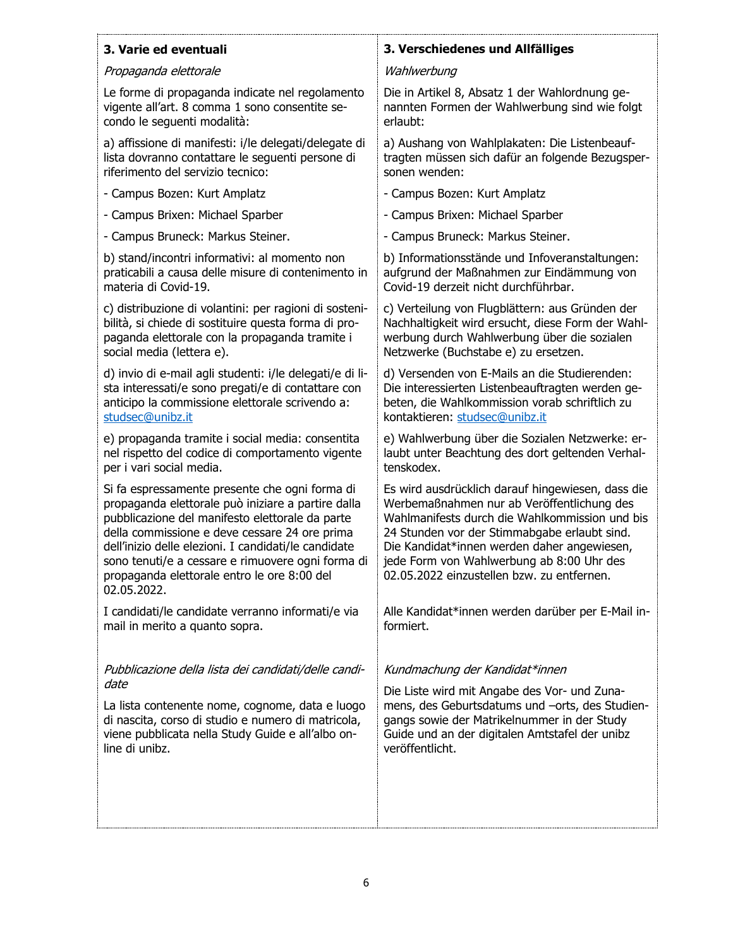## **3. Varie ed eventuali**

#### Propaganda elettorale

Le forme di propaganda indicate nel regolamento vigente all'art. 8 comma 1 sono consentite secondo le seguenti modalità:

a) affissione di manifesti: i/le delegati/delegate di lista dovranno contattare le seguenti persone di riferimento del servizio tecnico:

- Campus Bozen: Kurt Amplatz

- Campus Brixen: Michael Sparber

- Campus Bruneck: Markus Steiner.

b) stand/incontri informativi: al momento non praticabili a causa delle misure di contenimento in materia di Covid-19.

c) distribuzione di volantini: per ragioni di sostenibilità, si chiede di sostituire questa forma di propaganda elettorale con la propaganda tramite i social media (lettera e).

d) invio di e-mail agli studenti: i/le delegati/e di lista interessati/e sono pregati/e di contattare con anticipo la commissione elettorale scrivendo a: [studsec@unibz.it](mailto:studsec@unibz.it)

e) propaganda tramite i social media: consentita nel rispetto del codice di comportamento vigente per i vari social media.

Si fa espressamente presente che ogni forma di propaganda elettorale può iniziare a partire dalla pubblicazione del manifesto elettorale da parte della commissione e deve cessare 24 ore prima dell'inizio delle elezioni. I candidati/le candidate sono tenuti/e a cessare e rimuovere ogni forma di propaganda elettorale entro le ore 8:00 del 02.05.2022.

I candidati/le candidate verranno informati/e via mail in merito a quanto sopra.

Pubblicazione della lista dei candidati/delle candidate

La lista contenente nome, cognome, data e luogo di nascita, corso di studio e numero di matricola, viene pubblicata nella Study Guide e all'albo online di unibz.

## **3. Verschiedenes und Allfälliges**

#### **Wahlwerbung**

Die in Artikel 8, Absatz 1 der Wahlordnung genannten Formen der Wahlwerbung sind wie folgt erlaubt:

a) Aushang von Wahlplakaten: Die Listenbeauftragten müssen sich dafür an folgende Bezugspersonen wenden:

- Campus Bozen: Kurt Amplatz

- Campus Brixen: Michael Sparber

- Campus Bruneck: Markus Steiner.

b) Informationsstände und Infoveranstaltungen: aufgrund der Maßnahmen zur Eindämmung von Covid-19 derzeit nicht durchführbar.

c) Verteilung von Flugblättern: aus Gründen der Nachhaltigkeit wird ersucht, diese Form der Wahlwerbung durch Wahlwerbung über die sozialen Netzwerke (Buchstabe e) zu ersetzen.

d) Versenden von E-Mails an die Studierenden: Die interessierten Listenbeauftragten werden gebeten, die Wahlkommission vorab schriftlich zu kontaktieren: [studsec@unibz.it](mailto:studsec@unibz.it)

e) Wahlwerbung über die Sozialen Netzwerke: erlaubt unter Beachtung des dort geltenden Verhaltenskodex.

Es wird ausdrücklich darauf hingewiesen, dass die Werbemaßnahmen nur ab Veröffentlichung des Wahlmanifests durch die Wahlkommission und bis 24 Stunden vor der Stimmabgabe erlaubt sind. Die Kandidat\*innen werden daher angewiesen, jede Form von Wahlwerbung ab 8:00 Uhr des 02.05.2022 einzustellen bzw. zu entfernen.

Alle Kandidat\*innen werden darüber per E-Mail informiert.

#### Kundmachung der Kandidat\*innen

Die Liste wird mit Angabe des Vor- und Zunamens, des Geburtsdatums und –orts, des Studiengangs sowie der Matrikelnummer in der Study Guide und an der digitalen Amtstafel der unibz veröffentlicht.